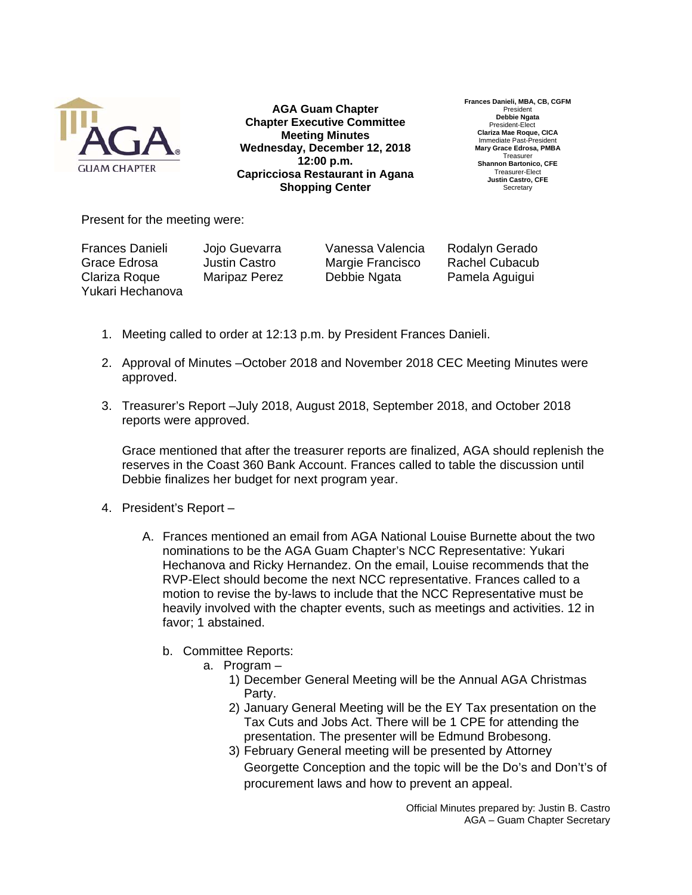

**AGA Guam Chapter Chapter Executive Committee Meeting Minutes Wednesday, December 12, 2018 12:00 p.m. Capricciosa Restaurant in Agana Shopping Center**

**Frances Danieli, MBA, CB, CGFM**  President **Debbie Ngata**  President-Elect **Clariza Mae Roque, CICA**  Immediate Past-Presider **Mary Grace Edrosa, PMBA**  Treasurer **Shannon Bartonico, CFE**  Treasurer-Elect **Justin Castro, CFE Secretary** 

Present for the meeting were:

Frances Danieli Jojo Guevarra Vanessa Valencia Rodalyn Gerado Grace Edrosa Justin Castro Margie Francisco Rachel Cubacub Clariza Roque Maripaz Perez Debbie Ngata Pamela Aguigui Yukari Hechanova

- 1. Meeting called to order at 12:13 p.m. by President Frances Danieli.
- 2. Approval of Minutes –October 2018 and November 2018 CEC Meeting Minutes were approved.
- 3. Treasurer's Report –July 2018, August 2018, September 2018, and October 2018 reports were approved.

Grace mentioned that after the treasurer reports are finalized, AGA should replenish the reserves in the Coast 360 Bank Account. Frances called to table the discussion until Debbie finalizes her budget for next program year.

- 4. President's Report
	- A. Frances mentioned an email from AGA National Louise Burnette about the two nominations to be the AGA Guam Chapter's NCC Representative: Yukari Hechanova and Ricky Hernandez. On the email, Louise recommends that the RVP-Elect should become the next NCC representative. Frances called to a motion to revise the by-laws to include that the NCC Representative must be heavily involved with the chapter events, such as meetings and activities. 12 in favor; 1 abstained.
		- b. Committee Reports:
			- a. Program
				- 1) December General Meeting will be the Annual AGA Christmas Party.
				- 2) January General Meeting will be the EY Tax presentation on the Tax Cuts and Jobs Act. There will be 1 CPE for attending the presentation. The presenter will be Edmund Brobesong.
				- 3) February General meeting will be presented by Attorney Georgette Conception and the topic will be the Do's and Don't's of procurement laws and how to prevent an appeal.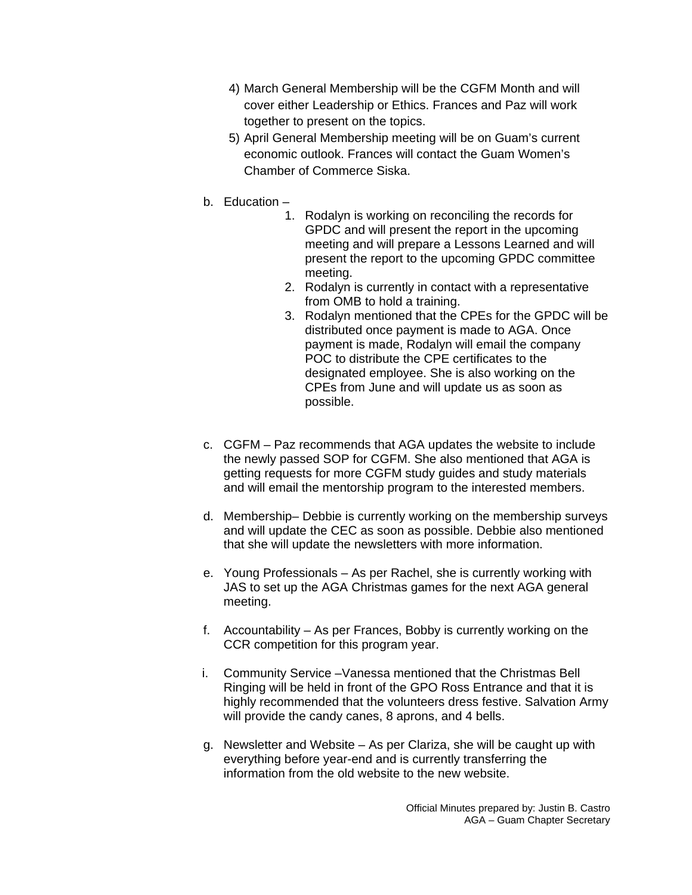- 4) March General Membership will be the CGFM Month and will cover either Leadership or Ethics. Frances and Paz will work together to present on the topics.
- 5) April General Membership meeting will be on Guam's current economic outlook. Frances will contact the Guam Women's Chamber of Commerce Siska.
- b. Education
	- 1. Rodalyn is working on reconciling the records for GPDC and will present the report in the upcoming meeting and will prepare a Lessons Learned and will present the report to the upcoming GPDC committee meeting.
	- 2. Rodalyn is currently in contact with a representative from OMB to hold a training.
	- 3. Rodalyn mentioned that the CPEs for the GPDC will be distributed once payment is made to AGA. Once payment is made, Rodalyn will email the company POC to distribute the CPE certificates to the designated employee. She is also working on the CPEs from June and will update us as soon as possible.
- c. CGFM Paz recommends that AGA updates the website to include the newly passed SOP for CGFM. She also mentioned that AGA is getting requests for more CGFM study guides and study materials and will email the mentorship program to the interested members.
- d. Membership– Debbie is currently working on the membership surveys and will update the CEC as soon as possible. Debbie also mentioned that she will update the newsletters with more information.
- e. Young Professionals As per Rachel, she is currently working with JAS to set up the AGA Christmas games for the next AGA general meeting.
- f. Accountability As per Frances, Bobby is currently working on the CCR competition for this program year.
- i. Community Service –Vanessa mentioned that the Christmas Bell Ringing will be held in front of the GPO Ross Entrance and that it is highly recommended that the volunteers dress festive. Salvation Army will provide the candy canes, 8 aprons, and 4 bells.
- g. Newsletter and Website As per Clariza, she will be caught up with everything before year-end and is currently transferring the information from the old website to the new website.